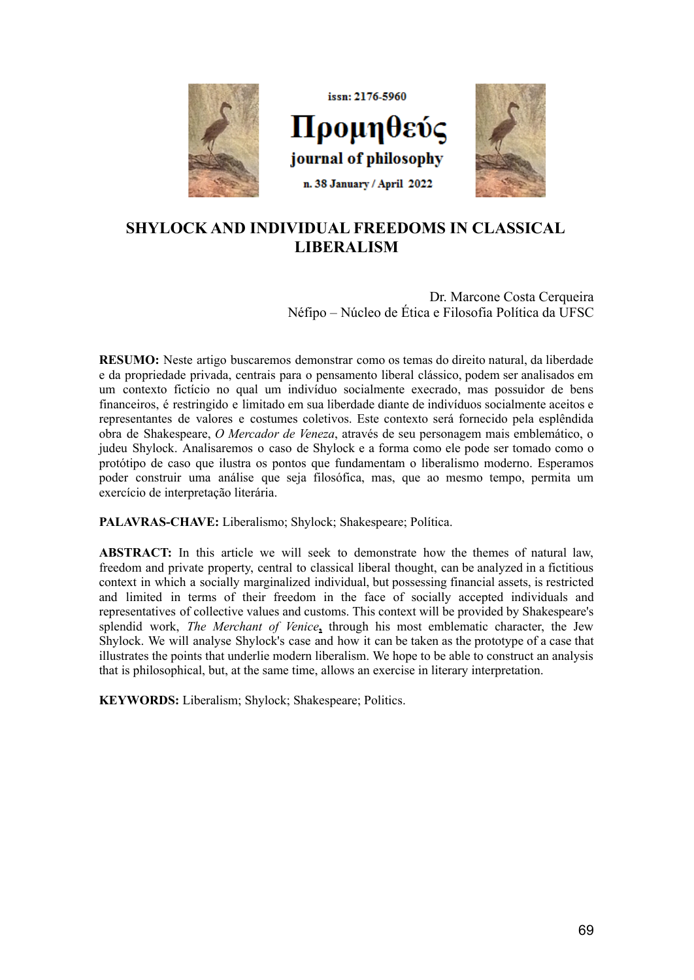

# **SHYLOCK AND INDIVIDUAL FREEDOMS IN CLASSICAL LIBERALISM**

Dr. Marcone Costa Cerqueira Néfipo – Núcleo de Ética e Filosofia Política da UFSC

**RESUMO:** Neste artigo buscaremos demonstrar como os temas do direito natural, da liberdade e da propriedade privada, centrais para o pensamento liberal clássico, podem ser analisados em um contexto fictício no qual um indivíduo socialmente execrado, mas possuidor de bens financeiros, é restringido e limitado em sua liberdade diante de indivíduos socialmente aceitos e representantes de valores e costumes coletivos. Este contexto será fornecido pela esplêndida obra de Shakespeare, *O Mercador de Veneza*, através de seu personagem mais emblemático, o judeu Shylock. Analisaremos o caso de Shylock e a forma como ele pode ser tomado como o protótipo de caso que ilustra os pontos que fundamentam o liberalismo moderno. Esperamos poder construir uma análise que seja filosófica, mas, que ao mesmo tempo, permita um exercício de interpretação literária.

**PALAVRAS-CHAVE:** Liberalismo; Shylock; Shakespeare; Política.

**ABSTRACT:** In this article we will seek to demonstrate how the themes of natural law, freedom and private property, central to classical liberal thought, can be analyzed in a fictitious context in which a socially marginalized individual, but possessing financial assets, is restricted and limited in terms of their freedom in the face of socially accepted individuals and representatives of collective values and customs. This context will be provided by Shakespeare's splendid work, *The Merchant of Venice***,** through his most emblematic character, the Jew Shylock. We will analyse Shylock's case and how it can be taken as the prototype of a case that illustrates the points that underlie modern liberalism. We hope to be able to construct an analysis that is philosophical, but, at the same time, allows an exercise in literary interpretation.

**KEYWORDS:** Liberalism; Shylock; Shakespeare; Politics.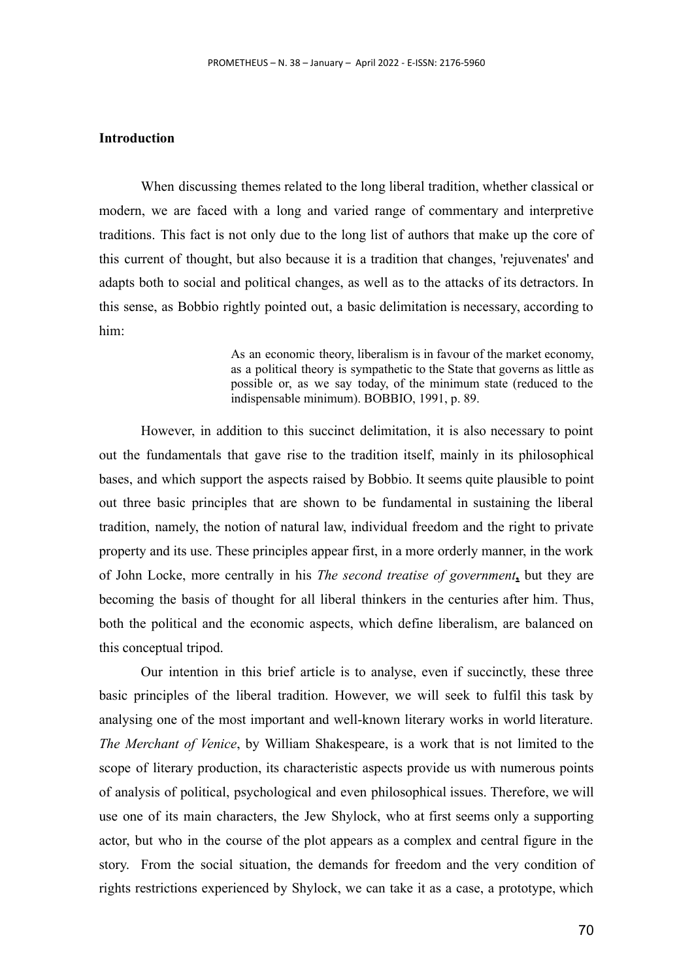## **Introduction**

When discussing themes related to the long liberal tradition, whether classical or modern, we are faced with a long and varied range of commentary and interpretive traditions. This fact is not only due to the long list of authors that make up the core of this current of thought, but also because it is a tradition that changes, 'rejuvenates' and adapts both to social and political changes, as well as to the attacks of its detractors. In this sense, as Bobbio rightly pointed out, a basic delimitation is necessary, according to him:

> As an economic theory, liberalism is in favour of the market economy, as a political theory is sympathetic to the State that governs as little as possible or, as we say today, of the minimum state (reduced to the indispensable minimum). BOBBIO, 1991, p. 89.

However, in addition to this succinct delimitation, it is also necessary to point out the fundamentals that gave rise to the tradition itself, mainly in its philosophical bases, and which support the aspects raised by Bobbio. It seems quite plausible to point out three basic principles that are shown to be fundamental in sustaining the liberal tradition, namely, the notion of natural law, individual freedom and the right to private property and its use. These principles appear first, in a more orderly manner, in the work of John Locke, more centrally in his *The second treatise of government***,** but they are becoming the basis of thought for all liberal thinkers in the centuries after him. Thus, both the political and the economic aspects, which define liberalism, are balanced on this conceptual tripod.

Our intention in this brief article is to analyse, even if succinctly, these three basic principles of the liberal tradition. However, we will seek to fulfil this task by analysing one of the most important and well-known literary works in world literature. *The Merchant of Venice*, by William Shakespeare, is a work that is not limited to the scope of literary production, its characteristic aspects provide us with numerous points of analysis of political, psychological and even philosophical issues. Therefore, we will use one of its main characters, the Jew Shylock, who at first seems only a supporting actor, but who in the course of the plot appears as a complex and central figure in the story. From the social situation, the demands for freedom and the very condition of rights restrictions experienced by Shylock, we can take it as a case, a prototype, which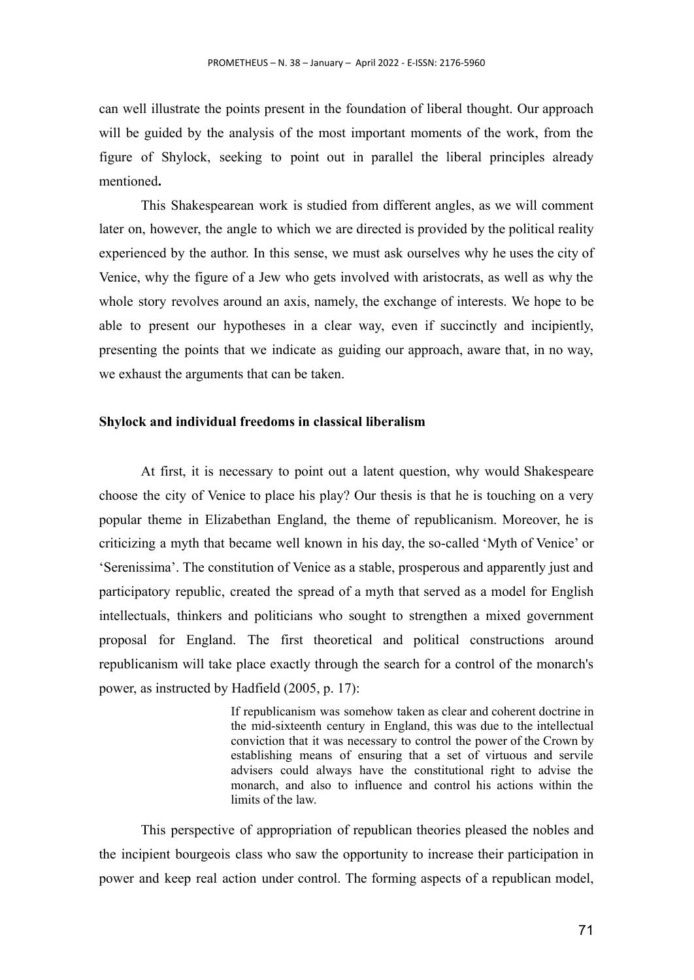can well illustrate the points present in the foundation of liberal thought. Our approach will be guided by the analysis of the most important moments of the work, from the figure of Shylock, seeking to point out in parallel the liberal principles already mentioned**.**

This Shakespearean work is studied from different angles, as we will comment later on, however, the angle to which we are directed is provided by the political reality experienced by the author. In this sense, we must ask ourselves why he uses the city of Venice, why the figure of a Jew who gets involved with aristocrats, as well as why the whole story revolves around an axis, namely, the exchange of interests. We hope to be able to present our hypotheses in a clear way, even if succinctly and incipiently, presenting the points that we indicate as guiding our approach, aware that, in no way, we exhaust the arguments that can be taken.

### **Shylock and individual freedoms in classical liberalism**

At first, it is necessary to point out a latent question, why would Shakespeare choose the city of Venice to place his play? Our thesis is that he is touching on a very popular theme in Elizabethan England, the theme of republicanism. Moreover, he is criticizing a myth that became well known in his day, the so-called 'Myth of Venice' or 'Serenissima'. The constitution of Venice as a stable, prosperous and apparently just and participatory republic, created the spread of a myth that served as a model for English intellectuals, thinkers and politicians who sought to strengthen a mixed government proposal for England. The first theoretical and political constructions around republicanism will take place exactly through the search for a control of the monarch's power, as instructed by Hadfield (2005, p. 17):

> If republicanism was somehow taken as clear and coherent doctrine in the mid-sixteenth century in England, this was due to the intellectual conviction that it was necessary to control the power of the Crown by establishing means of ensuring that a set of virtuous and servile advisers could always have the constitutional right to advise the monarch, and also to influence and control his actions within the limits of the law.

This perspective of appropriation of republican theories pleased the nobles and the incipient bourgeois class who saw the opportunity to increase their participation in power and keep real action under control. The forming aspects of a republican model,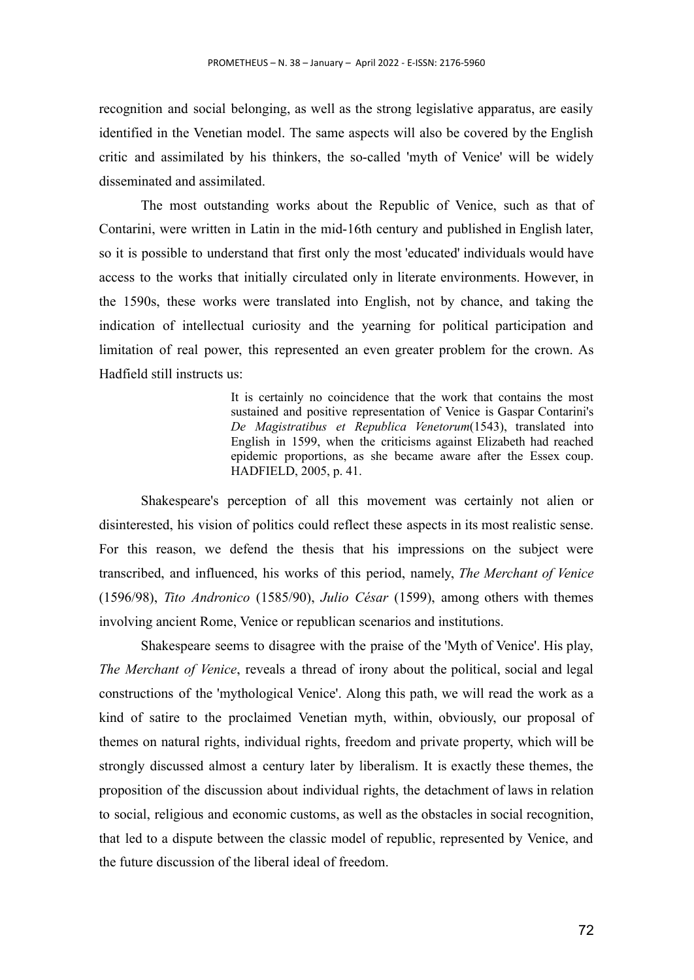recognition and social belonging, as well as the strong legislative apparatus, are easily identified in the Venetian model. The same aspects will also be covered by the English critic and assimilated by his thinkers, the so-called 'myth of Venice' will be widely disseminated and assimilated.

The most outstanding works about the Republic of Venice, such as that of Contarini, were written in Latin in the mid-16th century and published in English later, so it is possible to understand that first only the most 'educated' individuals would have access to the works that initially circulated only in literate environments. However, in the 1590s, these works were translated into English, not by chance, and taking the indication of intellectual curiosity and the yearning for political participation and limitation of real power, this represented an even greater problem for the crown. As Hadfield still instructs us:

> It is certainly no coincidence that the work that contains the most sustained and positive representation of Venice is Gaspar Contarini's *De Magistratibus et Republica Venetorum*(1543), translated into English in 1599, when the criticisms against Elizabeth had reached epidemic proportions, as she became aware after the Essex coup. HADFIELD, 2005, p. 41.

Shakespeare's perception of all this movement was certainly not alien or disinterested, his vision of politics could reflect these aspects in its most realistic sense. For this reason, we defend the thesis that his impressions on the subject were transcribed, and influenced, his works of this period, namely, *The Merchant of Venice* (1596/98), *Tito Andronico* (1585/90), *Julio César* (1599), among others with themes involving ancient Rome, Venice or republican scenarios and institutions.

Shakespeare seems to disagree with the praise of the 'Myth of Venice'. His play, *The Merchant of Venice*, reveals a thread of irony about the political, social and legal constructions of the 'mythological Venice'. Along this path, we will read the work as a kind of satire to the proclaimed Venetian myth, within, obviously, our proposal of themes on natural rights, individual rights, freedom and private property, which will be strongly discussed almost a century later by liberalism. It is exactly these themes, the proposition of the discussion about individual rights, the detachment of laws in relation to social, religious and economic customs, as well as the obstacles in social recognition, that led to a dispute between the classic model of republic, represented by Venice, and the future discussion of the liberal ideal of freedom.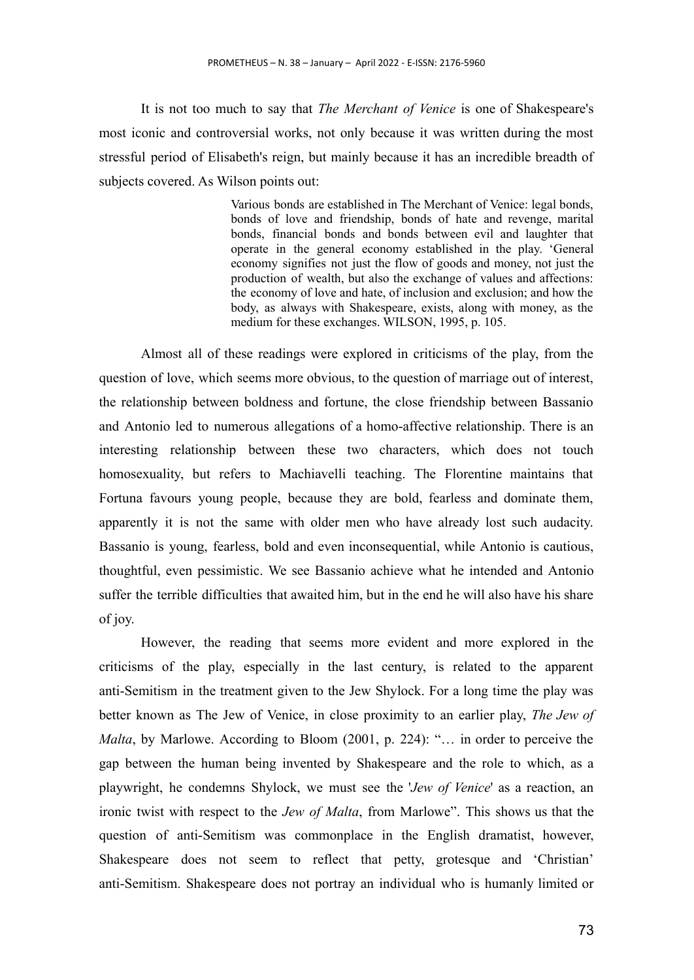It is not too much to say that *The Merchant of Venice* is one of Shakespeare's most iconic and controversial works, not only because it was written during the most stressful period of Elisabeth's reign, but mainly because it has an incredible breadth of subjects covered. As Wilson points out:

> Various bonds are established in The Merchant of Venice: legal bonds, bonds of love and friendship, bonds of hate and revenge, marital bonds, financial bonds and bonds between evil and laughter that operate in the general economy established in the play. 'General economy signifies not just the flow of goods and money, not just the production of wealth, but also the exchange of values and affections: the economy of love and hate, of inclusion and exclusion; and how the body, as always with Shakespeare, exists, along with money, as the medium for these exchanges. WILSON, 1995, p. 105.

Almost all of these readings were explored in criticisms of the play, from the question of love, which seems more obvious, to the question of marriage out of interest, the relationship between boldness and fortune, the close friendship between Bassanio and Antonio led to numerous allegations of a homo-affective relationship. There is an interesting relationship between these two characters, which does not touch homosexuality, but refers to Machiavelli teaching. The Florentine maintains that Fortuna favours young people, because they are bold, fearless and dominate them, apparently it is not the same with older men who have already lost such audacity. Bassanio is young, fearless, bold and even inconsequential, while Antonio is cautious, thoughtful, even pessimistic. We see Bassanio achieve what he intended and Antonio suffer the terrible difficulties that awaited him, but in the end he will also have his share of joy.

However, the reading that seems more evident and more explored in the criticisms of the play, especially in the last century, is related to the apparent anti-Semitism in the treatment given to the Jew Shylock. For a long time the play was better known as The Jew of Venice, in close proximity to an earlier play, *The Jew of Malta*, by Marlowe. According to Bloom (2001, p. 224): "… in order to perceive the gap between the human being invented by Shakespeare and the role to which, as a playwright, he condemns Shylock, we must see the '*Jew of Venice*' as a reaction, an ironic twist with respect to the *Jew of Malta*, from Marlowe". This shows us that the question of anti-Semitism was commonplace in the English dramatist, however, Shakespeare does not seem to reflect that petty, grotesque and 'Christian' anti-Semitism. Shakespeare does not portray an individual who is humanly limited or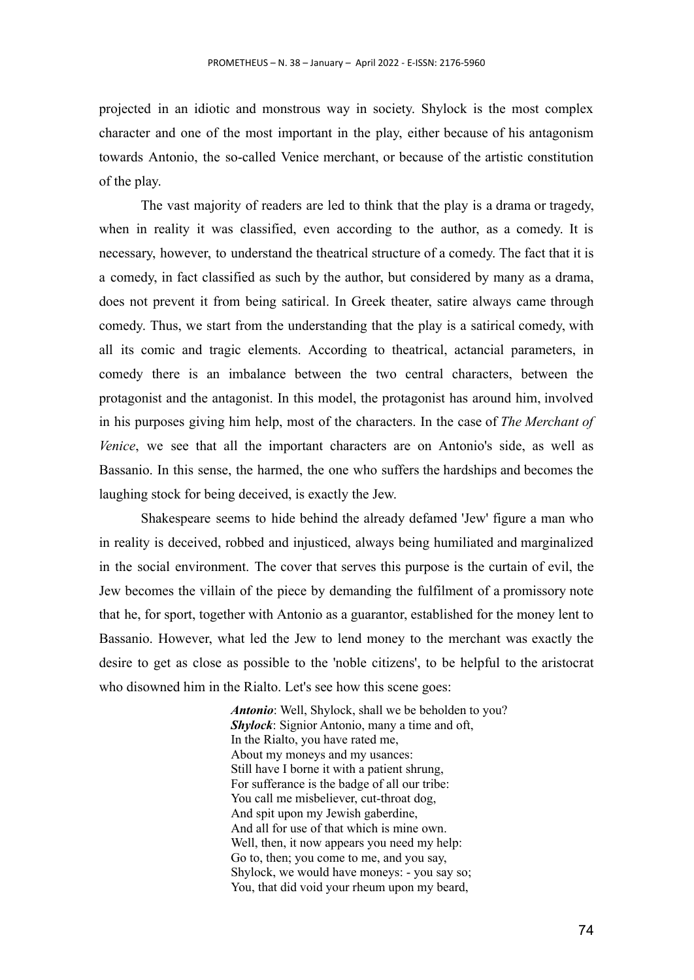projected in an idiotic and monstrous way in society. Shylock is the most complex character and one of the most important in the play, either because of his antagonism towards Antonio, the so-called Venice merchant, or because of the artistic constitution of the play.

The vast majority of readers are led to think that the play is a drama or tragedy, when in reality it was classified, even according to the author, as a comedy. It is necessary, however, to understand the theatrical structure of a comedy. The fact that it is a comedy, in fact classified as such by the author, but considered by many as a drama, does not prevent it from being satirical. In Greek theater, satire always came through comedy. Thus, we start from the understanding that the play is a satirical comedy, with all its comic and tragic elements. According to theatrical, actancial parameters, in comedy there is an imbalance between the two central characters, between the protagonist and the antagonist. In this model, the protagonist has around him, involved in his purposes giving him help, most of the characters. In the case of *The Merchant of Venice*, we see that all the important characters are on Antonio's side, as well as Bassanio. In this sense, the harmed, the one who suffers the hardships and becomes the laughing stock for being deceived, is exactly the Jew.

Shakespeare seems to hide behind the already defamed 'Jew' figure a man who in reality is deceived, robbed and injusticed, always being humiliated and marginalized in the social environment. The cover that serves this purpose is the curtain of evil, the Jew becomes the villain of the piece by demanding the fulfilment of a promissory note that he, for sport, together with Antonio as a guarantor, established for the money lent to Bassanio. However, what led the Jew to lend money to the merchant was exactly the desire to get as close as possible to the 'noble citizens', to be helpful to the aristocrat who disowned him in the Rialto. Let's see how this scene goes:

> *Antonio*: Well, Shylock, shall we be beholden to you? *Shylock*: Signior Antonio, many a time and oft, In the Rialto, you have rated me, About my moneys and my usances: Still have I borne it with a patient shrung, For sufferance is the badge of all our tribe: You call me misbeliever, cut-throat dog, And spit upon my Jewish gaberdine, And all for use of that which is mine own. Well, then, it now appears you need my help: Go to, then; you come to me, and you say, Shylock, we would have moneys: - you say so; You, that did void your rheum upon my beard,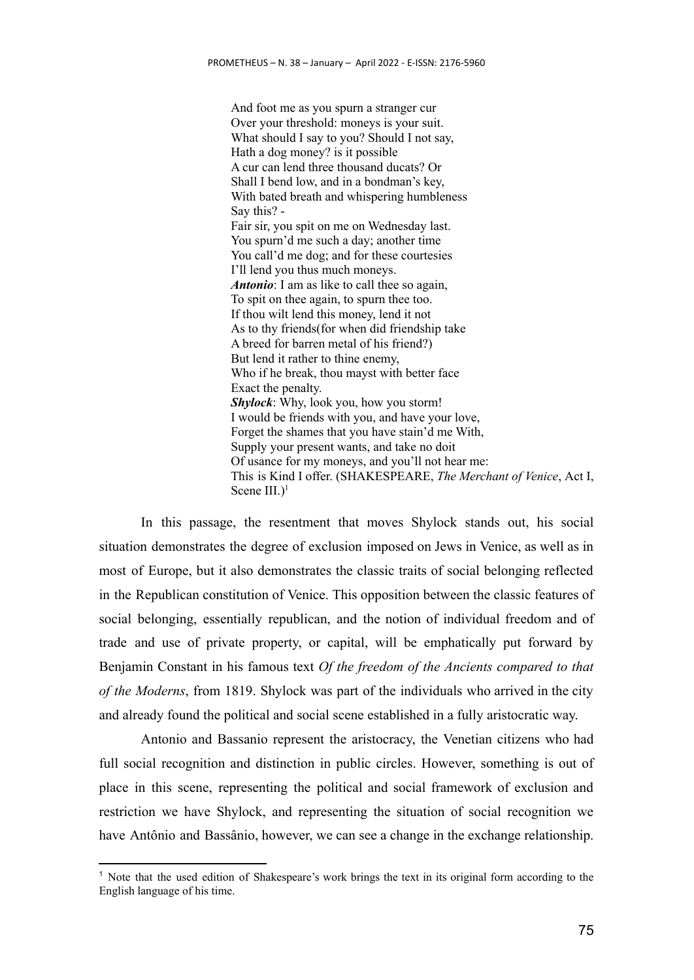And foot me as you spurn a stranger cur Over your threshold: moneys is your suit. What should I say to you? Should I not say, Hath a dog money? is it possible A cur can lend three thousand ducats? Or Shall I bend low, and in a bondman's key, With bated breath and whispering humbleness Say this? - Fair sir, you spit on me on Wednesday last. You spurn'd me such a day; another time You call'd me dog; and for these courtesies I'll lend you thus much moneys. *Antonio*: I am as like to call thee so again, To spit on thee again, to spurn thee too. If thou wilt lend this money, lend it not As to thy friends(for when did friendship take A breed for barren metal of his friend?) But lend it rather to thine enemy, Who if he break, thou mayst with better face Exact the penalty. *Shylock*: Why, look you, how you storm! I would be friends with you, and have your love, Forget the shames that you have stain'd me With, Supply your present wants, and take no doit Of usance for my moneys, and you'll not hear me: This is Kind I offer. (SHAKESPEARE, *The Merchant of Venice*, Act I, Scene  $III$ .)<sup>1</sup>

In this passage, the resentment that moves Shylock stands out, his social situation demonstrates the degree of exclusion imposed on Jews in Venice, as well as in most of Europe, but it also demonstrates the classic traits of social belonging reflected in the Republican constitution of Venice. This opposition between the classic features of social belonging, essentially republican, and the notion of individual freedom and of trade and use of private property, or capital, will be emphatically put forward by Benjamin Constant in his famous text *Of the freedom of the Ancients compared to that of the Moderns*, from 1819. Shylock was part of the individuals who arrived in the city and already found the political and social scene established in a fully aristocratic way.

Antonio and Bassanio represent the aristocracy, the Venetian citizens who had full social recognition and distinction in public circles. However, something is out of place in this scene, representing the political and social framework of exclusion and restriction we have Shylock, and representing the situation of social recognition we have Antônio and Bassânio, however, we can see a change in the exchange relationship.

<sup>1</sup> Note that the used edition of Shakespeare's work brings the text in its original form according to the English language of his time.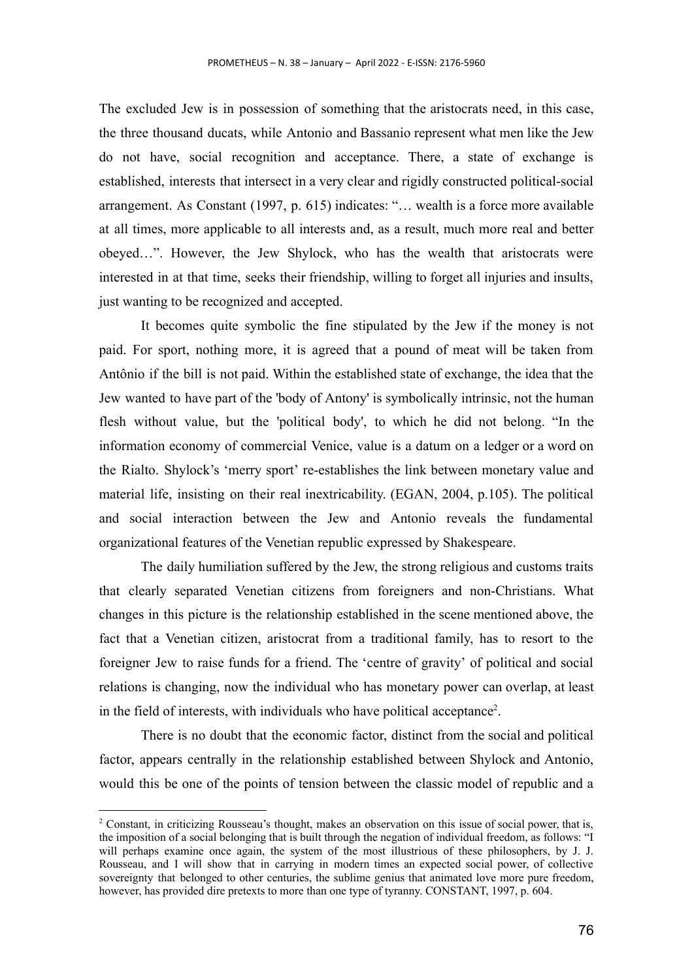The excluded Jew is in possession of something that the aristocrats need, in this case, the three thousand ducats, while Antonio and Bassanio represent what men like the Jew do not have, social recognition and acceptance. There, a state of exchange is established, interests that intersect in a very clear and rigidly constructed political-social arrangement. As Constant (1997, p. 615) indicates: "… wealth is a force more available at all times, more applicable to all interests and, as a result, much more real and better obeyed…". However, the Jew Shylock, who has the wealth that aristocrats were interested in at that time, seeks their friendship, willing to forget all injuries and insults, just wanting to be recognized and accepted.

It becomes quite symbolic the fine stipulated by the Jew if the money is not paid. For sport, nothing more, it is agreed that a pound of meat will be taken from Antônio if the bill is not paid. Within the established state of exchange, the idea that the Jew wanted to have part of the 'body of Antony' is symbolically intrinsic, not the human flesh without value, but the 'political body', to which he did not belong. "In the information economy of commercial Venice, value is a datum on a ledger or a word on the Rialto. Shylock's 'merry sport' re-establishes the link between monetary value and material life, insisting on their real inextricability. (EGAN, 2004, p.105). The political and social interaction between the Jew and Antonio reveals the fundamental organizational features of the Venetian republic expressed by Shakespeare.

The daily humiliation suffered by the Jew, the strong religious and customs traits that clearly separated Venetian citizens from foreigners and non-Christians. What changes in this picture is the relationship established in the scene mentioned above, the fact that a Venetian citizen, aristocrat from a traditional family, has to resort to the foreigner Jew to raise funds for a friend. The 'centre of gravity' of political and social relations is changing, now the individual who has monetary power can overlap, at least in the field of interests, with individuals who have political acceptance<sup>2</sup>.

There is no doubt that the economic factor, distinct from the social and political factor, appears centrally in the relationship established between Shylock and Antonio, would this be one of the points of tension between the classic model of republic and a

<sup>&</sup>lt;sup>2</sup> Constant, in criticizing Rousseau's thought, makes an observation on this issue of social power, that is, the imposition of a social belonging that is built through the negation of individual freedom, as follows: "I will perhaps examine once again, the system of the most illustrious of these philosophers, by J. J. Rousseau, and I will show that in carrying in modern times an expected social power, of collective sovereignty that belonged to other centuries, the sublime genius that animated love more pure freedom, however, has provided dire pretexts to more than one type of tyranny. CONSTANT, 1997, p. 604.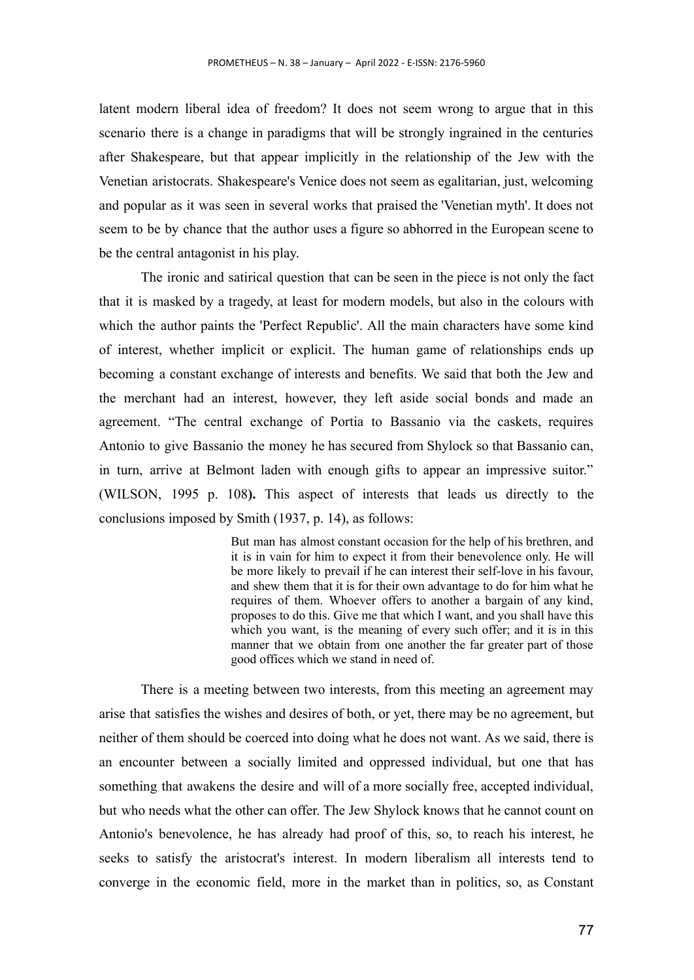latent modern liberal idea of freedom? It does not seem wrong to argue that in this scenario there is a change in paradigms that will be strongly ingrained in the centuries after Shakespeare, but that appear implicitly in the relationship of the Jew with the Venetian aristocrats. Shakespeare's Venice does not seem as egalitarian, just, welcoming and popular as it was seen in several works that praised the 'Venetian myth'. It does not seem to be by chance that the author uses a figure so abhorred in the European scene to be the central antagonist in his play.

The ironic and satirical question that can be seen in the piece is not only the fact that it is masked by a tragedy, at least for modern models, but also in the colours with which the author paints the 'Perfect Republic'. All the main characters have some kind of interest, whether implicit or explicit. The human game of relationships ends up becoming a constant exchange of interests and benefits. We said that both the Jew and the merchant had an interest, however, they left aside social bonds and made an agreement. "The central exchange of Portia to Bassanio via the caskets, requires Antonio to give Bassanio the money he has secured from Shylock so that Bassanio can, in turn, arrive at Belmont laden with enough gifts to appear an impressive suitor." (WILSON, 1995 p. 108**).** This aspect of interests that leads us directly to the conclusions imposed by Smith (1937, p. 14), as follows:

> But man has almost constant occasion for the help of his brethren, and it is in vain for him to expect it from their benevolence only. He will be more likely to prevail if he can interest their self-love in his favour, and shew them that it is for their own advantage to do for him what he requires of them. Whoever offers to another a bargain of any kind, proposes to do this. Give me that which I want, and you shall have this which you want, is the meaning of every such offer; and it is in this manner that we obtain from one another the far greater part of those good offices which we stand in need of.

There is a meeting between two interests, from this meeting an agreement may arise that satisfies the wishes and desires of both, or yet, there may be no agreement, but neither of them should be coerced into doing what he does not want. As we said, there is an encounter between a socially limited and oppressed individual, but one that has something that awakens the desire and will of a more socially free, accepted individual, but who needs what the other can offer. The Jew Shylock knows that he cannot count on Antonio's benevolence, he has already had proof of this, so, to reach his interest, he seeks to satisfy the aristocrat's interest. In modern liberalism all interests tend to converge in the economic field, more in the market than in politics, so, as Constant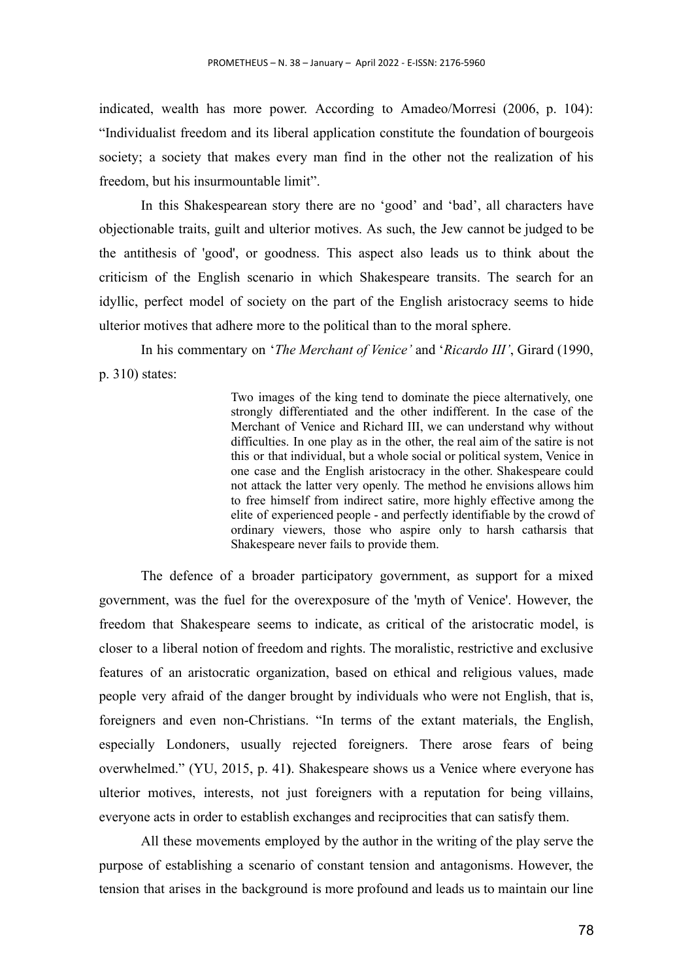indicated, wealth has more power. According to Amadeo/Morresi (2006, p. 104): "Individualist freedom and its liberal application constitute the foundation of bourgeois society; a society that makes every man find in the other not the realization of his freedom, but his insurmountable limit".

In this Shakespearean story there are no 'good' and 'bad', all characters have objectionable traits, guilt and ulterior motives. As such, the Jew cannot be judged to be the antithesis of 'good', or goodness. This aspect also leads us to think about the criticism of the English scenario in which Shakespeare transits. The search for an idyllic, perfect model of society on the part of the English aristocracy seems to hide ulterior motives that adhere more to the political than to the moral sphere.

In his commentary on '*The Merchant of Venice'* and '*Ricardo III'*, Girard (1990, p. 310) states:

> Two images of the king tend to dominate the piece alternatively, one strongly differentiated and the other indifferent. In the case of the Merchant of Venice and Richard III, we can understand why without difficulties. In one play as in the other, the real aim of the satire is not this or that individual, but a whole social or political system, Venice in one case and the English aristocracy in the other. Shakespeare could not attack the latter very openly. The method he envisions allows him to free himself from indirect satire, more highly effective among the elite of experienced people - and perfectly identifiable by the crowd of ordinary viewers, those who aspire only to harsh catharsis that Shakespeare never fails to provide them.

The defence of a broader participatory government, as support for a mixed government, was the fuel for the overexposure of the 'myth of Venice'. However, the freedom that Shakespeare seems to indicate, as critical of the aristocratic model, is closer to a liberal notion of freedom and rights. The moralistic, restrictive and exclusive features of an aristocratic organization, based on ethical and religious values, made people very afraid of the danger brought by individuals who were not English, that is, foreigners and even non-Christians. "In terms of the extant materials, the English, especially Londoners, usually rejected foreigners. There arose fears of being overwhelmed." (YU, 2015, p. 41**)**. Shakespeare shows us a Venice where everyone has ulterior motives, interests, not just foreigners with a reputation for being villains, everyone acts in order to establish exchanges and reciprocities that can satisfy them.

All these movements employed by the author in the writing of the play serve the purpose of establishing a scenario of constant tension and antagonisms. However, the tension that arises in the background is more profound and leads us to maintain our line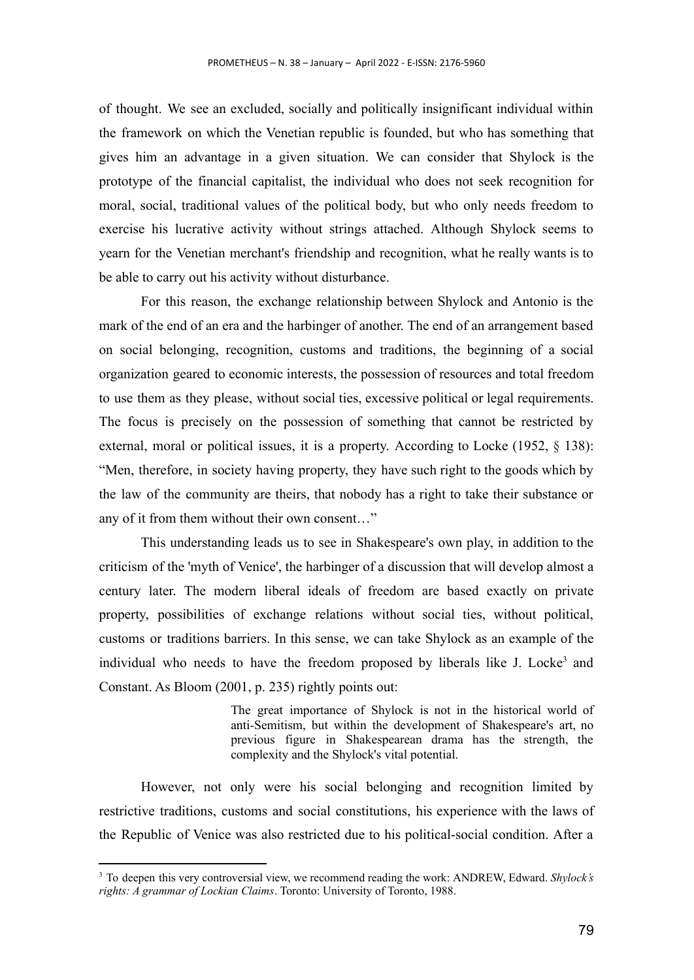of thought. We see an excluded, socially and politically insignificant individual within the framework on which the Venetian republic is founded, but who has something that gives him an advantage in a given situation. We can consider that Shylock is the prototype of the financial capitalist, the individual who does not seek recognition for moral, social, traditional values of the political body, but who only needs freedom to exercise his lucrative activity without strings attached. Although Shylock seems to yearn for the Venetian merchant's friendship and recognition, what he really wants is to be able to carry out his activity without disturbance.

For this reason, the exchange relationship between Shylock and Antonio is the mark of the end of an era and the harbinger of another. The end of an arrangement based on social belonging, recognition, customs and traditions, the beginning of a social organization geared to economic interests, the possession of resources and total freedom to use them as they please, without social ties, excessive political or legal requirements. The focus is precisely on the possession of something that cannot be restricted by external, moral or political issues, it is a property. According to Locke (1952, § 138): "Men, therefore, in society having property, they have such right to the goods which by the law of the community are theirs, that nobody has a right to take their substance or any of it from them without their own consent…"

This understanding leads us to see in Shakespeare's own play, in addition to the criticism of the 'myth of Venice', the harbinger of a discussion that will develop almost a century later. The modern liberal ideals of freedom are based exactly on private property, possibilities of exchange relations without social ties, without political, customs or traditions barriers. In this sense, we can take Shylock as an example of the individual who needs to have the freedom proposed by liberals like J. Locke<sup>3</sup> and Constant. As Bloom (2001, p. 235) rightly points out:

> The great importance of Shylock is not in the historical world of anti-Semitism, but within the development of Shakespeare's art, no previous figure in Shakespearean drama has the strength, the complexity and the Shylock's vital potential.

However, not only were his social belonging and recognition limited by restrictive traditions, customs and social constitutions, his experience with the laws of the Republic of Venice was also restricted due to his political-social condition. After a

<sup>3</sup> To deepen this very controversial view, we recommend reading the work: ANDREW, Edward. *Shylock's rights: A grammar of Lockian Claims*. Toronto: University of Toronto, 1988.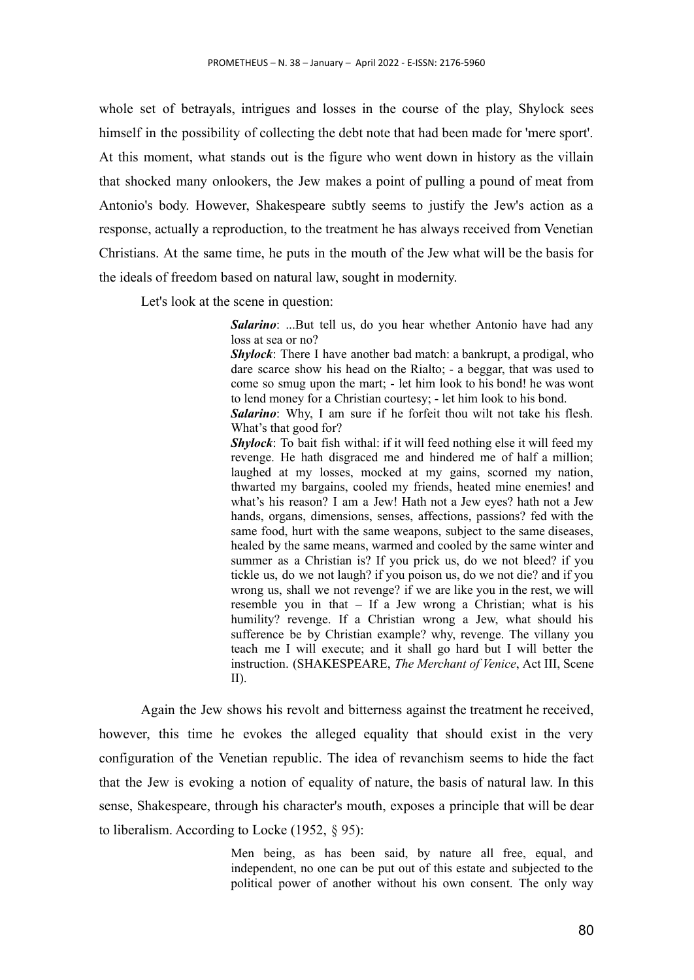whole set of betrayals, intrigues and losses in the course of the play, Shylock sees himself in the possibility of collecting the debt note that had been made for 'mere sport'. At this moment, what stands out is the figure who went down in history as the villain that shocked many onlookers, the Jew makes a point of pulling a pound of meat from Antonio's body. However, Shakespeare subtly seems to justify the Jew's action as a response, actually a reproduction, to the treatment he has always received from Venetian Christians. At the same time, he puts in the mouth of the Jew what will be the basis for the ideals of freedom based on natural law, sought in modernity.

Let's look at the scene in question:

*Salarino*: ...But tell us, do you hear whether Antonio have had any loss at sea or no?

*Shylock*: There I have another bad match: a bankrupt, a prodigal, who dare scarce show his head on the Rialto; - a beggar, that was used to come so smug upon the mart; - let him look to his bond! he was wont to lend money for a Christian courtesy; - let him look to his bond.

*Salarino*: Why, I am sure if he forfeit thou wilt not take his flesh. What's that good for?

*Shylock*: To bait fish withal: if it will feed nothing else it will feed my revenge. He hath disgraced me and hindered me of half a million; laughed at my losses, mocked at my gains, scorned my nation, thwarted my bargains, cooled my friends, heated mine enemies! and what's his reason? I am a Jew! Hath not a Jew eyes? hath not a Jew hands, organs, dimensions, senses, affections, passions? fed with the same food, hurt with the same weapons, subject to the same diseases, healed by the same means, warmed and cooled by the same winter and summer as a Christian is? If you prick us, do we not bleed? if you tickle us, do we not laugh? if you poison us, do we not die? and if you wrong us, shall we not revenge? if we are like you in the rest, we will resemble you in that – If a Jew wrong a Christian; what is his humility? revenge. If a Christian wrong a Jew, what should his sufference be by Christian example? why, revenge. The villany you teach me I will execute; and it shall go hard but I will better the instruction. (SHAKESPEARE, *The Merchant of Venice*, Act III, Scene II).

Again the Jew shows his revolt and bitterness against the treatment he received, however, this time he evokes the alleged equality that should exist in the very configuration of the Venetian republic. The idea of revanchism seems to hide the fact that the Jew is evoking a notion of equality of nature, the basis of natural law. In this sense, Shakespeare, through his character's mouth, exposes a principle that will be dear to liberalism. According to Locke (1952, § 95):

> Men being, as has been said, by nature all free, equal, and independent, no one can be put out of this estate and subjected to the political power of another without his own consent. The only way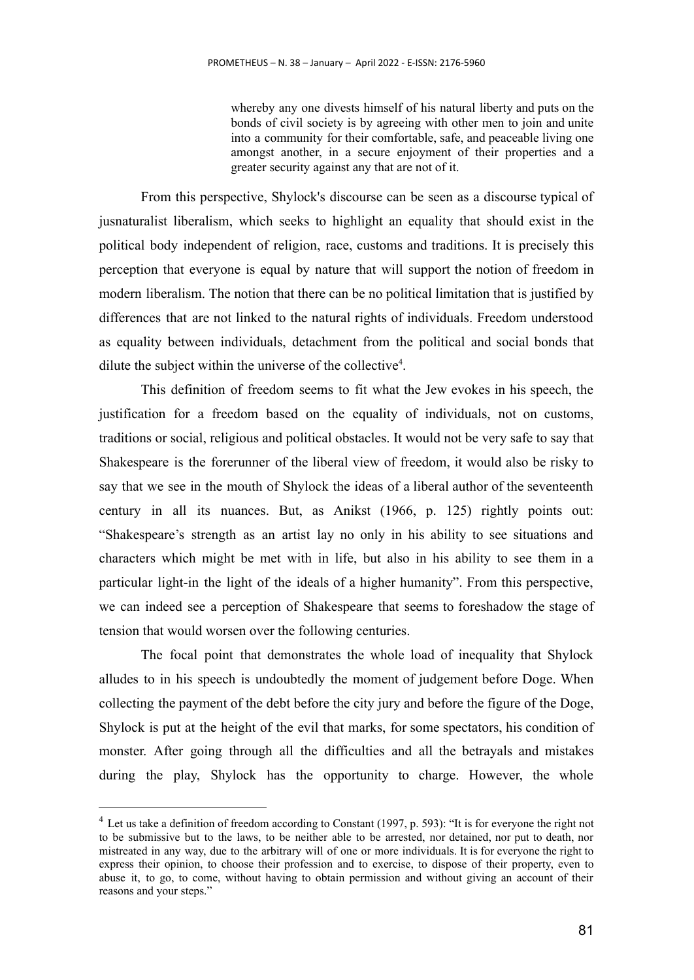whereby any one divests himself of his natural liberty and puts on the bonds of civil society is by agreeing with other men to join and unite into a community for their comfortable, safe, and peaceable living one amongst another, in a secure enjoyment of their properties and a greater security against any that are not of it.

From this perspective, Shylock's discourse can be seen as a discourse typical of jusnaturalist liberalism, which seeks to highlight an equality that should exist in the political body independent of religion, race, customs and traditions. It is precisely this perception that everyone is equal by nature that will support the notion of freedom in modern liberalism. The notion that there can be no political limitation that is justified by differences that are not linked to the natural rights of individuals. Freedom understood as equality between individuals, detachment from the political and social bonds that dilute the subject within the universe of the collective $4$ .

This definition of freedom seems to fit what the Jew evokes in his speech, the justification for a freedom based on the equality of individuals, not on customs, traditions or social, religious and political obstacles. It would not be very safe to say that Shakespeare is the forerunner of the liberal view of freedom, it would also be risky to say that we see in the mouth of Shylock the ideas of a liberal author of the seventeenth century in all its nuances. But, as Anikst (1966, p. 125) rightly points out: "Shakespeare's strength as an artist lay no only in his ability to see situations and characters which might be met with in life, but also in his ability to see them in a particular light-in the light of the ideals of a higher humanity". From this perspective, we can indeed see a perception of Shakespeare that seems to foreshadow the stage of tension that would worsen over the following centuries.

The focal point that demonstrates the whole load of inequality that Shylock alludes to in his speech is undoubtedly the moment of judgement before Doge. When collecting the payment of the debt before the city jury and before the figure of the Doge, Shylock is put at the height of the evil that marks, for some spectators, his condition of monster. After going through all the difficulties and all the betrayals and mistakes during the play, Shylock has the opportunity to charge. However, the whole

<sup>&</sup>lt;sup>4</sup> Let us take a definition of freedom according to Constant (1997, p. 593): "It is for everyone the right not to be submissive but to the laws, to be neither able to be arrested, nor detained, nor put to death, nor mistreated in any way, due to the arbitrary will of one or more individuals. It is for everyone the right to express their opinion, to choose their profession and to exercise, to dispose of their property, even to abuse it, to go, to come, without having to obtain permission and without giving an account of their reasons and your steps."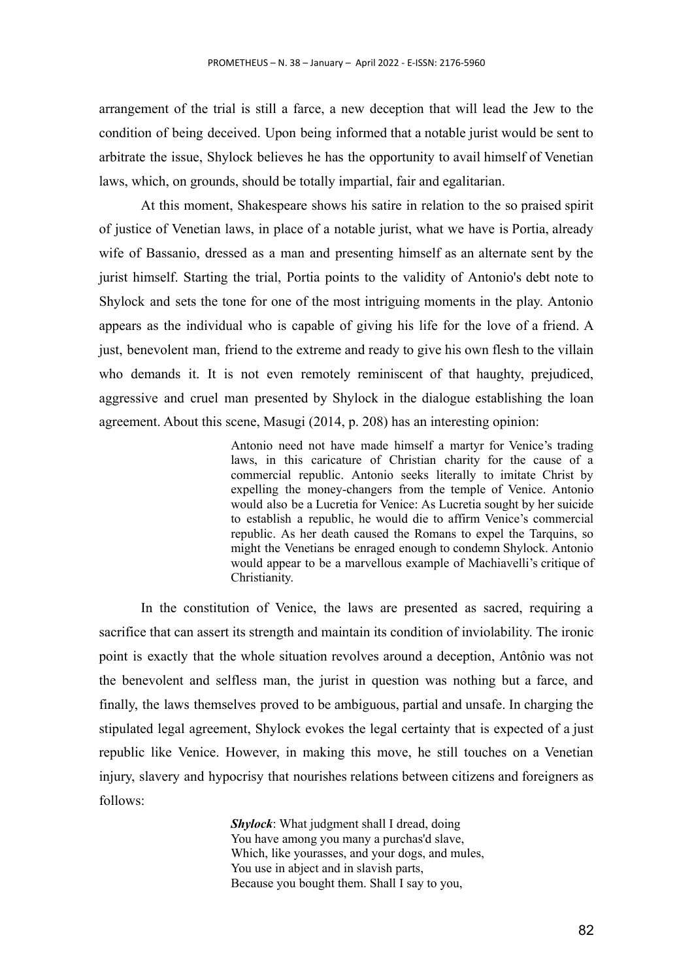arrangement of the trial is still a farce, a new deception that will lead the Jew to the condition of being deceived. Upon being informed that a notable jurist would be sent to arbitrate the issue, Shylock believes he has the opportunity to avail himself of Venetian laws, which, on grounds, should be totally impartial, fair and egalitarian.

At this moment, Shakespeare shows his satire in relation to the so praised spirit of justice of Venetian laws, in place of a notable jurist, what we have is Portia, already wife of Bassanio, dressed as a man and presenting himself as an alternate sent by the jurist himself. Starting the trial, Portia points to the validity of Antonio's debt note to Shylock and sets the tone for one of the most intriguing moments in the play. Antonio appears as the individual who is capable of giving his life for the love of a friend. A just, benevolent man, friend to the extreme and ready to give his own flesh to the villain who demands it. It is not even remotely reminiscent of that haughty, prejudiced, aggressive and cruel man presented by Shylock in the dialogue establishing the loan agreement. About this scene, Masugi (2014, p. 208) has an interesting opinion:

> Antonio need not have made himself a martyr for Venice's trading laws, in this caricature of Christian charity for the cause of a commercial republic. Antonio seeks literally to imitate Christ by expelling the money-changers from the temple of Venice. Antonio would also be a Lucretia for Venice: As Lucretia sought by her suicide to establish a republic, he would die to affirm Venice's commercial republic. As her death caused the Romans to expel the Tarquins, so might the Venetians be enraged enough to condemn Shylock. Antonio would appear to be a marvellous example of Machiavelli's critique of Christianity.

In the constitution of Venice, the laws are presented as sacred, requiring a sacrifice that can assert its strength and maintain its condition of inviolability. The ironic point is exactly that the whole situation revolves around a deception, Antônio was not the benevolent and selfless man, the jurist in question was nothing but a farce, and finally, the laws themselves proved to be ambiguous, partial and unsafe. In charging the stipulated legal agreement, Shylock evokes the legal certainty that is expected of a just republic like Venice. However, in making this move, he still touches on a Venetian injury, slavery and hypocrisy that nourishes relations between citizens and foreigners as follows:

> *Shylock*: What judgment shall I dread, doing You have among you many a purchas'd slave, Which, like yourasses, and your dogs, and mules, You use in abject and in slavish parts, Because you bought them. Shall I say to you,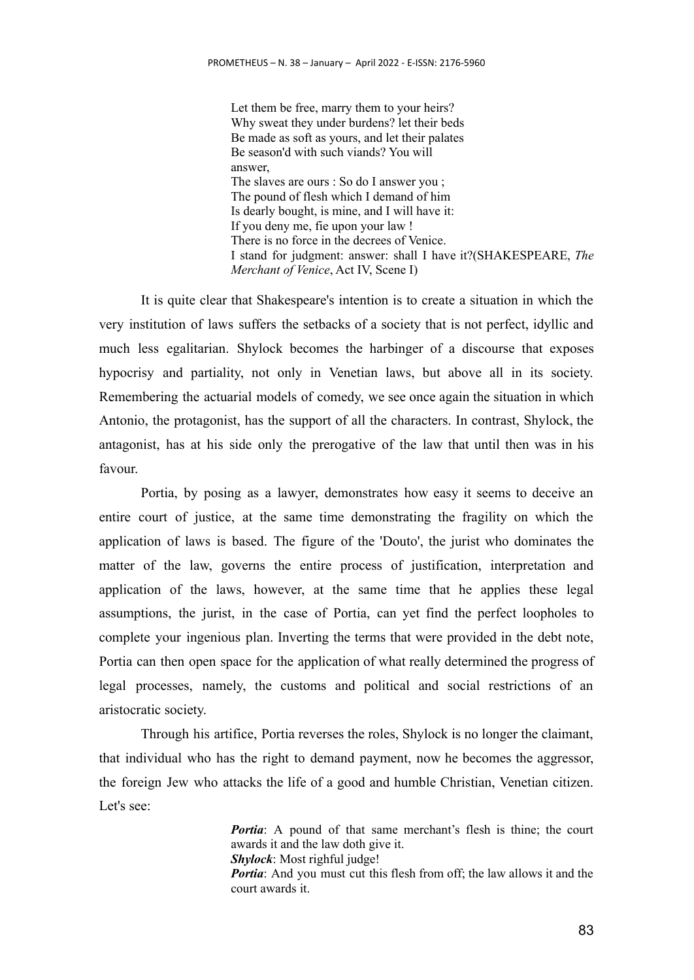Let them be free, marry them to your heirs? Why sweat they under burdens? let their beds Be made as soft as yours, and let their palates Be season'd with such viands? You will answer, The slaves are ours : So do I answer you ; The pound of flesh which I demand of him Is dearly bought, is mine, and I will have it: If you deny me, fie upon your law ! There is no force in the decrees of Venice. I stand for judgment: answer: shall I have it?(SHAKESPEARE, *The Merchant of Venice*, Act IV, Scene I)

It is quite clear that Shakespeare's intention is to create a situation in which the very institution of laws suffers the setbacks of a society that is not perfect, idyllic and much less egalitarian. Shylock becomes the harbinger of a discourse that exposes hypocrisy and partiality, not only in Venetian laws, but above all in its society. Remembering the actuarial models of comedy, we see once again the situation in which Antonio, the protagonist, has the support of all the characters. In contrast, Shylock, the antagonist, has at his side only the prerogative of the law that until then was in his favour.

Portia, by posing as a lawyer, demonstrates how easy it seems to deceive an entire court of justice, at the same time demonstrating the fragility on which the application of laws is based. The figure of the 'Douto', the jurist who dominates the matter of the law, governs the entire process of justification, interpretation and application of the laws, however, at the same time that he applies these legal assumptions, the jurist, in the case of Portia, can yet find the perfect loopholes to complete your ingenious plan. Inverting the terms that were provided in the debt note, Portia can then open space for the application of what really determined the progress of legal processes, namely, the customs and political and social restrictions of an aristocratic society.

Through his artifice, Portia reverses the roles, Shylock is no longer the claimant, that individual who has the right to demand payment, now he becomes the aggressor, the foreign Jew who attacks the life of a good and humble Christian, Venetian citizen. Let's see:

> *Portia*: A pound of that same merchant's flesh is thine; the court awards it and the law doth give it. *Shylock*: Most righful judge! *Portia*: And you must cut this flesh from off; the law allows it and the court awards it.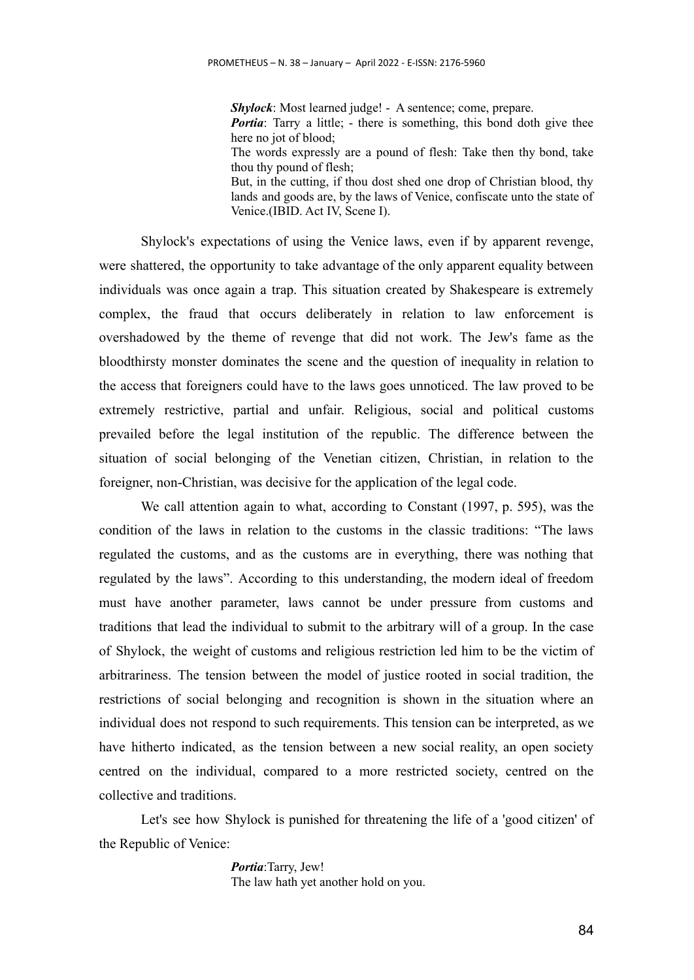*Shylock*: Most learned judge! - A sentence; come, prepare. *Portia*: Tarry a little; - there is something, this bond doth give thee here no jot of blood: The words expressly are a pound of flesh: Take then thy bond, take thou thy pound of flesh; But, in the cutting, if thou dost shed one drop of Christian blood, thy lands and goods are, by the laws of Venice, confiscate unto the state of Venice.(IBID. Act IV, Scene I).

Shylock's expectations of using the Venice laws, even if by apparent revenge, were shattered, the opportunity to take advantage of the only apparent equality between individuals was once again a trap. This situation created by Shakespeare is extremely complex, the fraud that occurs deliberately in relation to law enforcement is overshadowed by the theme of revenge that did not work. The Jew's fame as the bloodthirsty monster dominates the scene and the question of inequality in relation to the access that foreigners could have to the laws goes unnoticed. The law proved to be extremely restrictive, partial and unfair. Religious, social and political customs prevailed before the legal institution of the republic. The difference between the situation of social belonging of the Venetian citizen, Christian, in relation to the foreigner, non-Christian, was decisive for the application of the legal code.

We call attention again to what, according to Constant (1997, p. 595), was the condition of the laws in relation to the customs in the classic traditions: "The laws regulated the customs, and as the customs are in everything, there was nothing that regulated by the laws". According to this understanding, the modern ideal of freedom must have another parameter, laws cannot be under pressure from customs and traditions that lead the individual to submit to the arbitrary will of a group. In the case of Shylock, the weight of customs and religious restriction led him to be the victim of arbitrariness. The tension between the model of justice rooted in social tradition, the restrictions of social belonging and recognition is shown in the situation where an individual does not respond to such requirements. This tension can be interpreted, as we have hitherto indicated, as the tension between a new social reality, an open society centred on the individual, compared to a more restricted society, centred on the collective and traditions.

Let's see how Shylock is punished for threatening the life of a 'good citizen' of the Republic of Venice:

> *Portia*:Tarry, Jew! The law hath yet another hold on you.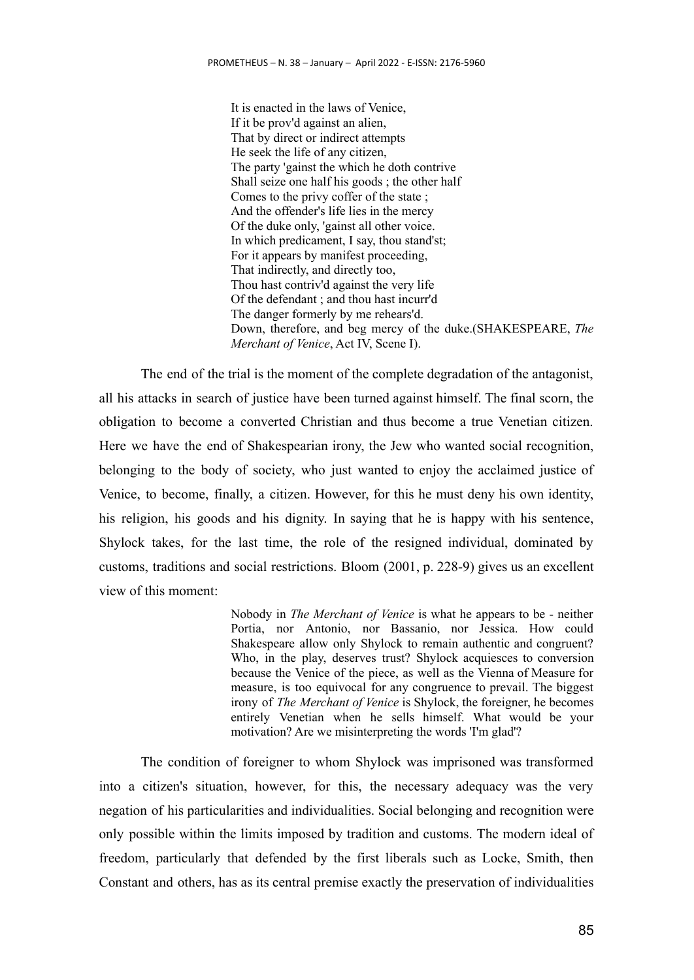It is enacted in the laws of Venice, If it be prov'd against an alien, That by direct or indirect attempts He seek the life of any citizen, The party 'gainst the which he doth contrive Shall seize one half his goods ; the other half Comes to the privy coffer of the state ; And the offender's life lies in the mercy Of the duke only, 'gainst all other voice. In which predicament, I say, thou stand'st; For it appears by manifest proceeding, That indirectly, and directly too, Thou hast contriv'd against the very life Of the defendant ; and thou hast incurr'd The danger formerly by me rehears'd. Down, therefore, and beg mercy of the duke.(SHAKESPEARE, *The Merchant of Venice*, Act IV, Scene I).

The end of the trial is the moment of the complete degradation of the antagonist, all his attacks in search of justice have been turned against himself. The final scorn, the obligation to become a converted Christian and thus become a true Venetian citizen. Here we have the end of Shakespearian irony, the Jew who wanted social recognition, belonging to the body of society, who just wanted to enjoy the acclaimed justice of Venice, to become, finally, a citizen. However, for this he must deny his own identity, his religion, his goods and his dignity. In saying that he is happy with his sentence, Shylock takes, for the last time, the role of the resigned individual, dominated by customs, traditions and social restrictions. Bloom (2001, p. 228-9) gives us an excellent view of this moment:

> Nobody in *The Merchant of Venice* is what he appears to be - neither Portia, nor Antonio, nor Bassanio, nor Jessica. How could Shakespeare allow only Shylock to remain authentic and congruent? Who, in the play, deserves trust? Shylock acquiesces to conversion because the Venice of the piece, as well as the Vienna of Measure for measure, is too equivocal for any congruence to prevail. The biggest irony of *The Merchant of Venice* is Shylock, the foreigner, he becomes entirely Venetian when he sells himself. What would be your motivation? Are we misinterpreting the words 'I'm glad'?

The condition of foreigner to whom Shylock was imprisoned was transformed into a citizen's situation, however, for this, the necessary adequacy was the very negation of his particularities and individualities. Social belonging and recognition were only possible within the limits imposed by tradition and customs. The modern ideal of freedom, particularly that defended by the first liberals such as Locke, Smith, then Constant and others, has as its central premise exactly the preservation of individualities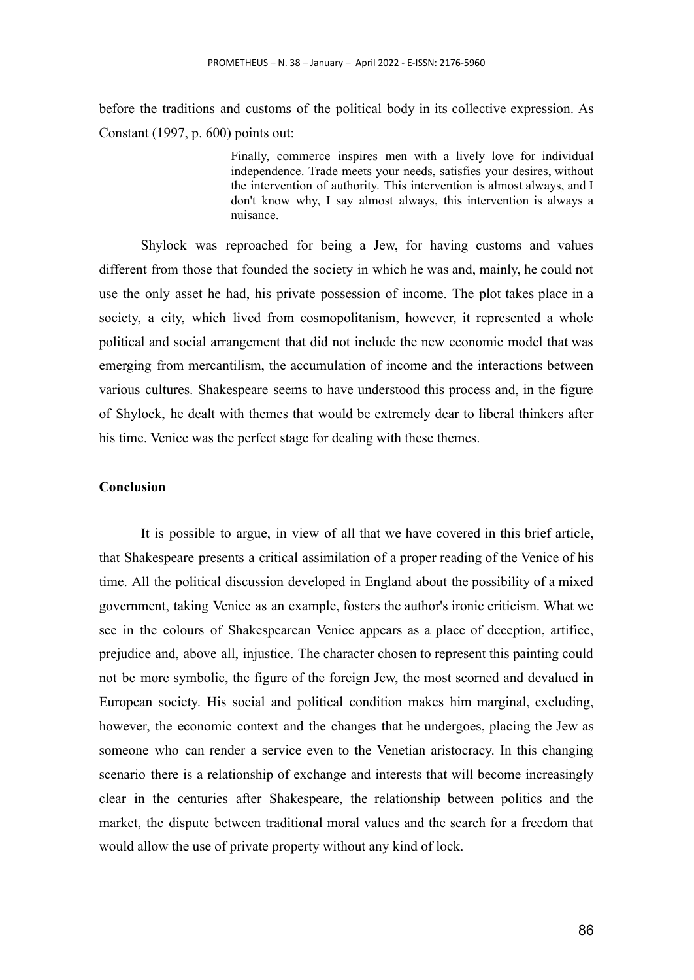before the traditions and customs of the political body in its collective expression. As Constant (1997, p. 600) points out:

> Finally, commerce inspires men with a lively love for individual independence. Trade meets your needs, satisfies your desires, without the intervention of authority. This intervention is almost always, and I don't know why, I say almost always, this intervention is always a nuisance.

Shylock was reproached for being a Jew, for having customs and values different from those that founded the society in which he was and, mainly, he could not use the only asset he had, his private possession of income. The plot takes place in a society, a city, which lived from cosmopolitanism, however, it represented a whole political and social arrangement that did not include the new economic model that was emerging from mercantilism, the accumulation of income and the interactions between various cultures. Shakespeare seems to have understood this process and, in the figure of Shylock, he dealt with themes that would be extremely dear to liberal thinkers after his time. Venice was the perfect stage for dealing with these themes.

## **Conclusion**

It is possible to argue, in view of all that we have covered in this brief article, that Shakespeare presents a critical assimilation of a proper reading of the Venice of his time. All the political discussion developed in England about the possibility of a mixed government, taking Venice as an example, fosters the author's ironic criticism. What we see in the colours of Shakespearean Venice appears as a place of deception, artifice, prejudice and, above all, injustice. The character chosen to represent this painting could not be more symbolic, the figure of the foreign Jew, the most scorned and devalued in European society. His social and political condition makes him marginal, excluding, however, the economic context and the changes that he undergoes, placing the Jew as someone who can render a service even to the Venetian aristocracy. In this changing scenario there is a relationship of exchange and interests that will become increasingly clear in the centuries after Shakespeare, the relationship between politics and the market, the dispute between traditional moral values and the search for a freedom that would allow the use of private property without any kind of lock.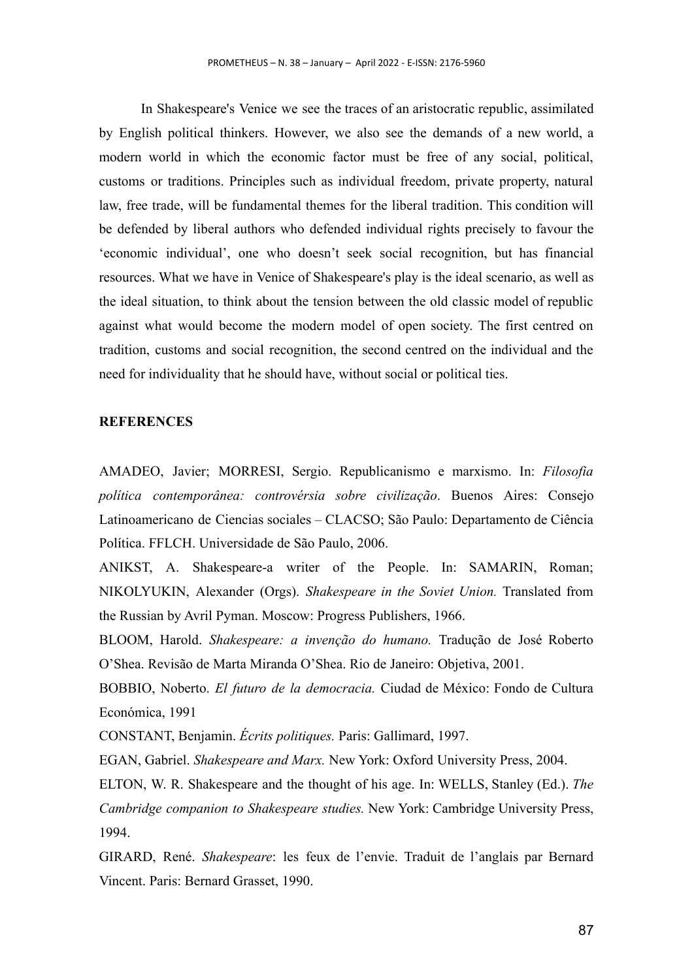In Shakespeare's Venice we see the traces of an aristocratic republic, assimilated by English political thinkers. However, we also see the demands of a new world, a modern world in which the economic factor must be free of any social, political, customs or traditions. Principles such as individual freedom, private property, natural law, free trade, will be fundamental themes for the liberal tradition. This condition will be defended by liberal authors who defended individual rights precisely to favour the 'economic individual', one who doesn't seek social recognition, but has financial resources. What we have in Venice of Shakespeare's play is the ideal scenario, as well as the ideal situation, to think about the tension between the old classic model of republic against what would become the modern model of open society. The first centred on tradition, customs and social recognition, the second centred on the individual and the need for individuality that he should have, without social or political ties.

#### **REFERENCES**

AMADEO, Javier; MORRESI, Sergio. Republicanismo e marxismo. In: *Filosofia política contemporânea: controvérsia sobre civilização*. Buenos Aires: Consejo Latinoamericano de Ciencias sociales – CLACSO; São Paulo: Departamento de Ciência Política. FFLCH. Universidade de São Paulo, 2006.

ANIKST, A. Shakespeare-a writer of the People. In: SAMARIN, Roman; NIKOLYUKIN, Alexander (Orgs). *Shakespeare in the Soviet Union.* Translated from the Russian by Avril Pyman. Moscow: Progress Publishers, 1966.

BLOOM, Harold. *Shakespeare: a invenção do humano.* Tradução de José Roberto O'Shea. Revisão de Marta Miranda O'Shea. Rio de Janeiro: Objetiva, 2001.

BOBBIO, Noberto. *El futuro de la democracia.* Ciudad de México: Fondo de Cultura Económica, 1991

CONSTANT, Benjamin. *Écrits politiques.* Paris: Gallimard, 1997.

EGAN, Gabriel. *Shakespeare and Marx.* New York: Oxford University Press, 2004.

ELTON, W. R. Shakespeare and the thought of his age. In: WELLS, Stanley (Ed.). *The Cambridge companion to Shakespeare studies.* New York: Cambridge University Press, 1994.

GIRARD, René. *Shakespeare*: les feux de l'envie. Traduit de l'anglais par Bernard Vincent. Paris: Bernard Grasset, 1990.